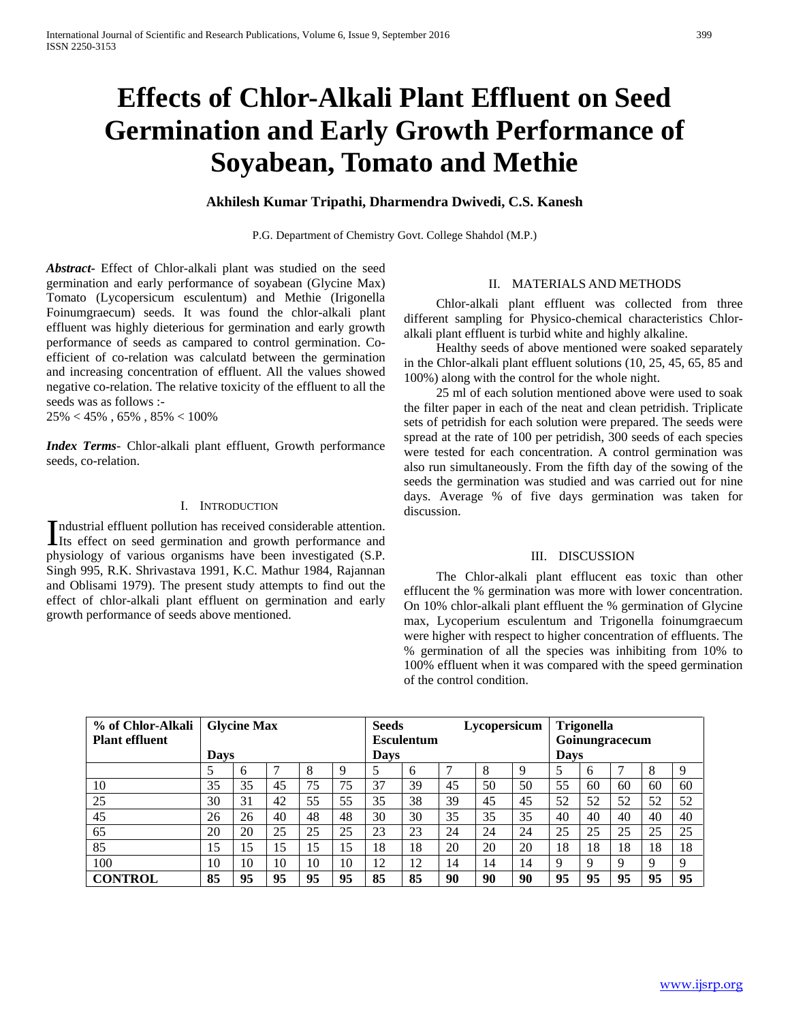# **Effects of Chlor-Alkali Plant Effluent on Seed Germination and Early Growth Performance of Soyabean, Tomato and Methie**

## **Akhilesh Kumar Tripathi, Dharmendra Dwivedi, C.S. Kanesh**

P.G. Department of Chemistry Govt. College Shahdol (M.P.)

*Abstract***-** Effect of Chlor-alkali plant was studied on the seed germination and early performance of soyabean (Glycine Max) Tomato (Lycopersicum esculentum) and Methie (Irigonella Foinumgraecum) seeds. It was found the chlor-alkali plant effluent was highly dieterious for germination and early growth performance of seeds as campared to control germination. Coefficient of co-relation was calculatd between the germination and increasing concentration of effluent. All the values showed negative co-relation. The relative toxicity of the effluent to all the seeds was as follows :-

 $25\% < 45\%$  ,  $65\%$  ,  $85\% < 100\%$ 

*Index Terms*- Chlor-alkali plant effluent, Growth performance seeds, co-relation.

#### I. INTRODUCTION

ndustrial effluent pollution has received considerable attention. Industrial effluent pollution has received considerable attention.<br>Its effect on seed germination and growth performance and<br> $\frac{1}{2}$ physiology of various organisms have been investigated (S.P. Singh 995, R.K. Shrivastava 1991, K.C. Mathur 1984, Rajannan and Oblisami 1979). The present study attempts to find out the effect of chlor-alkali plant effluent on germination and early growth performance of seeds above mentioned.

## II. MATERIALS AND METHODS

 Chlor-alkali plant effluent was collected from three different sampling for Physico-chemical characteristics Chloralkali plant effluent is turbid white and highly alkaline.

 Healthy seeds of above mentioned were soaked separately in the Chlor-alkali plant effluent solutions (10, 25, 45, 65, 85 and 100%) along with the control for the whole night.

 25 ml of each solution mentioned above were used to soak the filter paper in each of the neat and clean petridish. Triplicate sets of petridish for each solution were prepared. The seeds were spread at the rate of 100 per petridish, 300 seeds of each species were tested for each concentration. A control germination was also run simultaneously. From the fifth day of the sowing of the seeds the germination was studied and was carried out for nine days. Average % of five days germination was taken for discussion.

### III. DISCUSSION

 The Chlor-alkali plant efflucent eas toxic than other efflucent the % germination was more with lower concentration. On 10% chlor-alkali plant effluent the % germination of Glycine max, Lycoperium esculentum and Trigonella foinumgraecum were higher with respect to higher concentration of effluents. The % germination of all the species was inhibiting from 10% to 100% effluent when it was compared with the speed germination of the control condition.

| % of Chlor-Alkali     | <b>Glycine Max</b> |    |    |    | <b>Seeds</b>      |    |    | Lycopersicum |                | <b>Trigonella</b> |    |              |    |    |    |
|-----------------------|--------------------|----|----|----|-------------------|----|----|--------------|----------------|-------------------|----|--------------|----|----|----|
| <b>Plant effluent</b> |                    |    |    |    | <b>Esculentum</b> |    |    |              | Goinungracecum |                   |    |              |    |    |    |
|                       | Davs               |    |    |    | Days              |    |    |              | <b>Days</b>    |                   |    |              |    |    |    |
|                       |                    | h  |    |    |                   |    | 6  |              | 8              | 9                 |    | <sub>0</sub> |    | 8  | 9  |
| 10                    | 35                 | 35 | 45 | 75 | 75                | 37 | 39 | 45           | 50             | 50                | 55 | 60           | 60 | 60 | 60 |
| 25                    | 30                 | 31 | 42 | 55 | 55                | 35 | 38 | 39           | 45             | 45                | 52 | 52           | 52 | 52 | 52 |
| 45                    | 26                 | 26 | 40 | 48 | 48                | 30 | 30 | 35           | 35             | 35                | 40 | 40           | 40 | 40 | 40 |
| 65                    | 20                 | 20 | 25 | 25 | 25                | 23 | 23 | 24           | 24             | 24                | 25 | 25           | 25 | 25 | 25 |
| 85                    | 15                 | 15 | 15 | 15 | 15                | 18 | 18 | 20           | 20             | 20                | 18 | 18           | 18 | 18 | 18 |
| 100                   | 10                 | 10 | 10 | 10 | 10                | 12 | 12 | 14           | 14             | 14                | Q  | Q            | q  | 9  | 9  |
| <b>CONTROL</b>        | 85                 | 95 | 95 | 95 | 95                | 85 | 85 | 90           | 90             | 90                | 95 | 95           | 95 | 95 | 95 |